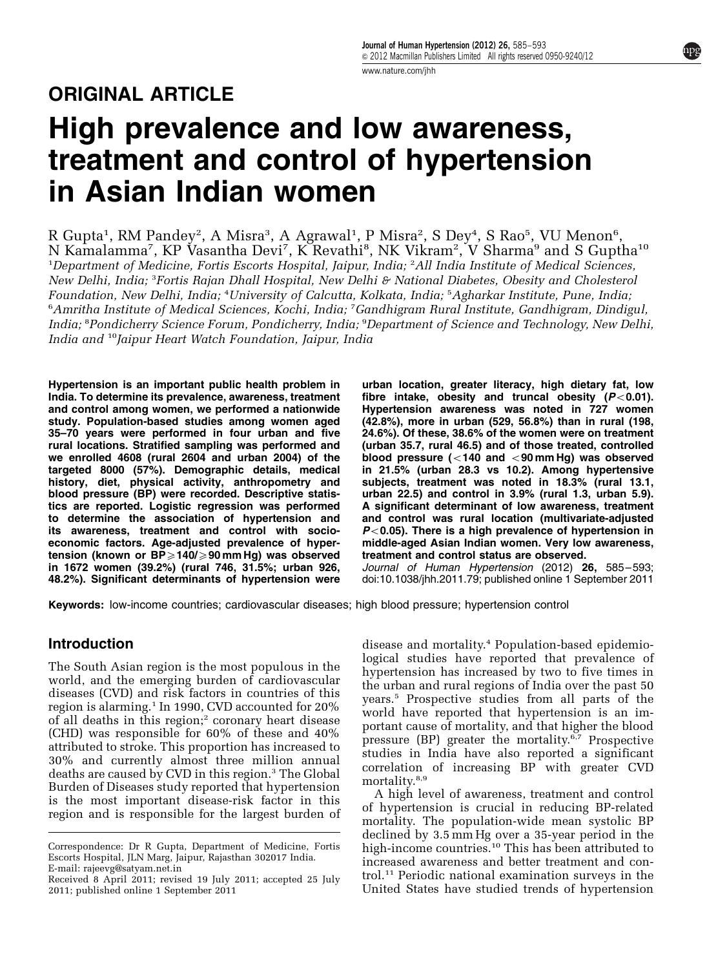# ORIGINAL ARTICLE

# High prevalence and low awareness, treatment and control of hypertension in Asian Indian women

R Gupta<sup>1</sup>, RM Pandey<sup>2</sup>, A Misra<sup>3</sup>, A Agrawal<sup>1</sup>, P Misra<sup>2</sup>, S Dey<sup>4</sup>, S Rao<sup>5</sup>, VU Menon<sup>6</sup>, N Kamalamma<sup>7</sup>, KP Vasantha Devi<sup>7</sup>, K Revathi<sup>8</sup>, NK Vikram<sup>2</sup>, V Sharma<sup>9</sup> and S Guptha<sup>10</sup> 1 Department of Medicine, Fortis Escorts Hospital, Jaipur, India; <sup>2</sup> All India Institute of Medical Sciences, New Delhi, India; <sup>3</sup>Fortis Rajan Dhall Hospital, New Delhi & National Diabetes, Obesity and Cholesterol Foundation, New Delhi, India; <sup>4</sup>University of Calcutta, Kolkata, India; <sup>5</sup>Agharkar Institute, Pune, India, 6 Amritha Institute of Medical Sciences, Kochi, India; <sup>7</sup> Gandhigram Rural Institute, Gandhigram, Dindigul, India; <sup>8</sup>Pondicherry Science Forum, Pondicherry, India; <sup>9</sup>Department of Science and Technology, New Delhi, India and <sup>10</sup>Jaipur Heart Watch Foundation, Jaipur, India

Hypertension is an important public health problem in India. To determine its prevalence, awareness, treatment and control among women, we performed a nationwide study. Population-based studies among women aged 35–70 years were performed in four urban and five rural locations. Stratified sampling was performed and we enrolled 4608 (rural 2604 and urban 2004) of the targeted 8000 (57%). Demographic details, medical history, diet, physical activity, anthropometry and blood pressure (BP) were recorded. Descriptive statistics are reported. Logistic regression was performed to determine the association of hypertension and its awareness, treatment and control with socioeconomic factors. Age-adjusted prevalence of hypertension (known or  $BP \geq 140/ \geq 90$  mm Hg) was observed in 1672 women (39.2%) (rural 746, 31.5%; urban 926, 48.2%). Significant determinants of hypertension were

urban location, greater literacy, high dietary fat, low fibre intake, obesity and truncal obesity  $(P<0.01)$ . Hypertension awareness was noted in 727 women (42.8%), more in urban (529, 56.8%) than in rural (198, 24.6%). Of these, 38.6% of the women were on treatment (urban 35.7, rural 46.5) and of those treated, controlled blood pressure ( $<$ 140 and  $<$ 90 mm Hg) was observed in 21.5% (urban 28.3 vs 10.2). Among hypertensive subjects, treatment was noted in 18.3% (rural 13.1, urban 22.5) and control in 3.9% (rural 1.3, urban 5.9). A significant determinant of low awareness, treatment and control was rural location (multivariate-adjusted  $P<0.05$ ). There is a high prevalence of hypertension in middle-aged Asian Indian women. Very low awareness, treatment and control status are observed.

Journal of Human Hypertension (2012) 26, 585-593; doi[:10.1038/jhh.2011.79](http://dx.doi.org/10.1038/jhh.2011.79); published online 1 September 2011

Keywords: low-income countries; cardiovascular diseases; high blood pressure; hypertension control

### Introduction

The South Asian region is the most populous in the world, and the emerging burden of cardiovascular diseases (CVD) and risk factors in countries of this region is alarming.<sup>[1](#page-6-0)</sup> In 1990, CVD accounted for 20% of all deaths in this region;<sup>[2](#page-6-0)</sup> coronary heart disease (CHD) was responsible for 60% of these and 40% attributed to stroke. This proportion has increased to 30% and currently almost three million annual deaths are caused by CVD in this region.<sup>[3](#page-6-0)</sup> The Global Burden of Diseases study reported that hypertension is the most important disease-risk factor in this region and is responsible for the largest burden of

disease and mortality[.4](#page-6-0) Population-based epidemiological studies have reported that prevalence of hypertension has increased by two to five times in the urban and rural regions of India over the past 50 years.[5](#page-6-0) Prospective studies from all parts of the world have reported that hypertension is an important cause of mortality, and that higher the blood pressure (BP) greater the mortality.<sup>[6,7](#page-6-0)</sup> Prospective studies in India have also reported a significant correlation of increasing BP with greater CVD mortality.<sup>[8,9](#page-6-0)</sup>

A high level of awareness, treatment and control of hypertension is crucial in reducing BP-related mortality. The population-wide mean systolic BP declined by 3.5 mm Hg over a 35-year period in the high-income countries.<sup>[10](#page-6-0)</sup> This has been attributed to increased awareness and better treatment and control.[11](#page-6-0) Periodic national examination surveys in the Received 8 April 2011; revised 19 July 2011; accepted 25 July trol.<sup>11</sup> Periodic national examination surveys in the<br>2011; published online 1 September 2011 United States have studied trends of hypertension

Correspondence: Dr R Gupta, Department of Medicine, Fortis Escorts Hospital, JLN Marg, Jaipur, Rajasthan 302017 India. E-mail: [rajeevg@satyam.net.in](mailto:rajeevg@satyam.net.in)

<sup>2011;</sup> published online 1 September 2011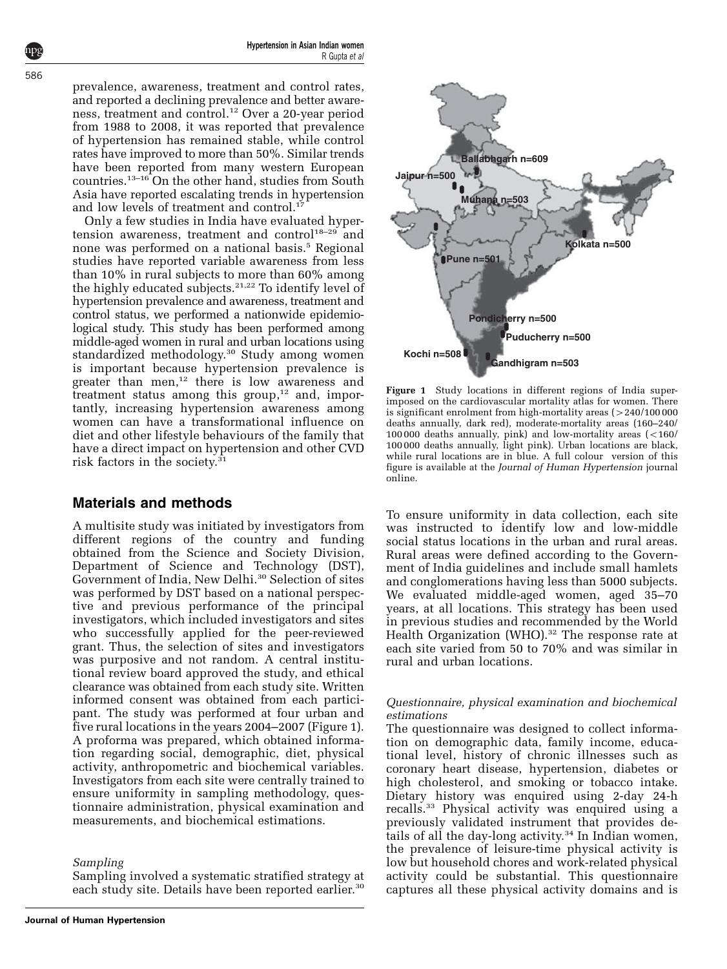<span id="page-1-0"></span>prevalence, awareness, treatment and control rates, and reported a declining prevalence and better awareness, treatment and control[.12](#page-6-0) Over a 20-year period from 1988 to 2008, it was reported that prevalence of hypertension has remained stable, while control rates have improved to more than 50%. Similar trends have been reported from many western European countries.<sup>13–16</sup> On the other hand, studies from South Asia have reported escalating trends in hypertension and low levels of treatment and control.<sup>17</sup>

Only a few studies in India have evaluated hyper-tension awareness, treatment and control<sup>[18–29](#page-7-0)</sup> and none was performed on a national basis.<sup>[5](#page-6-0)</sup> Regional studies have reported variable awareness from less than 10% in rural subjects to more than 60% among the highly educated subjects.<sup>[21,22](#page-7-0)</sup> To identify level of hypertension prevalence and awareness, treatment and control status, we performed a nationwide epidemiological study. This study has been performed among middle-aged women in rural and urban locations using standardized methodology.<sup>30</sup> Study among women is important because hypertension prevalence is greater than men,<sup>[12](#page-6-0)</sup> there is low awareness and treatment status among this group, $12$  and, importantly, increasing hypertension awareness among women can have a transformational influence on diet and other lifestyle behaviours of the family that have a direct impact on hypertension and other CVD risk factors in the society. $31$ 

# Materials and methods

A multisite study was initiated by investigators from different regions of the country and funding obtained from the Science and Society Division, Department of Science and Technology (DST), Government of India, New Delhi.[30](#page-7-0) Selection of sites was performed by DST based on a national perspective and previous performance of the principal investigators, which included investigators and sites who successfully applied for the peer-reviewed grant. Thus, the selection of sites and investigators was purposive and not random. A central institutional review board approved the study, and ethical clearance was obtained from each study site. Written informed consent was obtained from each participant. The study was performed at four urban and five rural locations in the years 2004–2007 (Figure 1). A proforma was prepared, which obtained information regarding social, demographic, diet, physical activity, anthropometric and biochemical variables. Investigators from each site were centrally trained to ensure uniformity in sampling methodology, questionnaire administration, physical examination and measurements, and biochemical estimations.

Sampling

Sampling involved a systematic stratified strategy at each study site. Details have been reported earlier.<sup>30</sup>



Figure 1 Study locations in different regions of India superimposed on the cardiovascular mortality atlas for women. There is significant enrolment from high-mortality areas  $(>240/100 000$ deaths annually, dark red), moderate-mortality areas (160–240/  $100000$  deaths annually, pink) and low-mortality areas  $\left( <160/$ 100 000 deaths annually, light pink). Urban locations are black, while rural locations are in blue. A full colour version of this figure is available at the Journal of Human Hypertension journal online.

To ensure uniformity in data collection, each site was instructed to identify low and low-middle social status locations in the urban and rural areas. Rural areas were defined according to the Government of India guidelines and include small hamlets and conglomerations having less than 5000 subjects. We evaluated middle-aged women, aged 35–70 years, at all locations. This strategy has been used in previous studies and recommended by the World Health Organization (WHO).<sup>[32](#page-7-0)</sup> The response rate at each site varied from 50 to 70% and was similar in rural and urban locations.

#### Questionnaire, physical examination and biochemical estimations

The questionnaire was designed to collect information on demographic data, family income, educational level, history of chronic illnesses such as coronary heart disease, hypertension, diabetes or high cholesterol, and smoking or tobacco intake. Dietary history was enquired using 2-day 24-h recalls.[33](#page-7-0) Physical activity was enquired using a previously validated instrument that provides details of all the day-long activity. $34$  In Indian women, the prevalence of leisure-time physical activity is low but household chores and work-related physical activity could be substantial. This questionnaire captures all these physical activity domains and is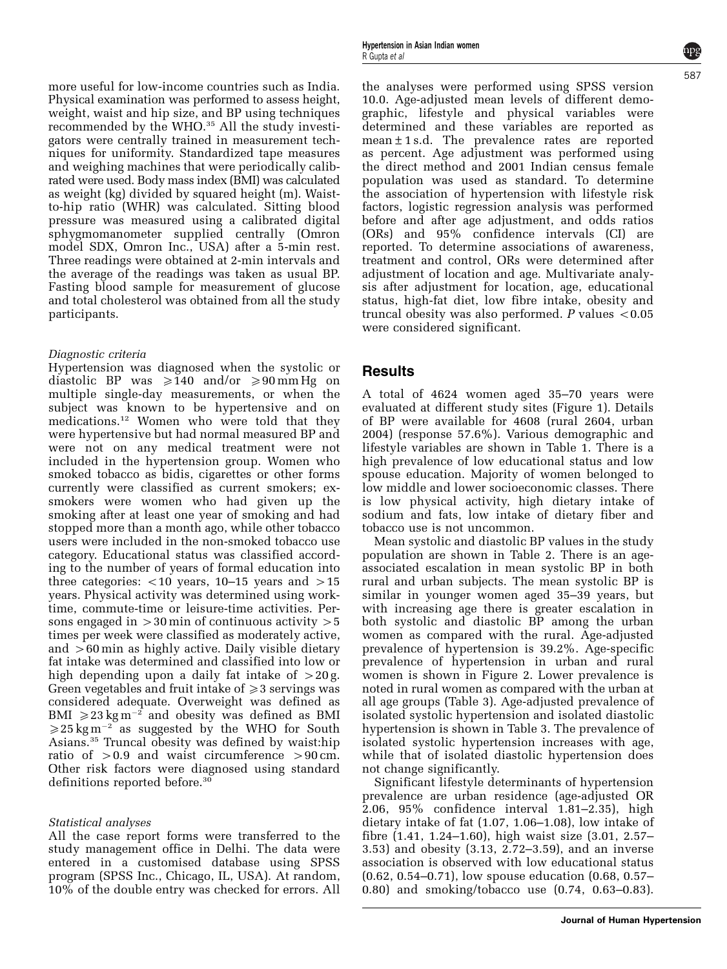more useful for low-income countries such as India. Physical examination was performed to assess height, weight, waist and hip size, and BP using techniques recommended by the WHO.<sup>[35](#page-7-0)</sup> All the study investigators were centrally trained in measurement techniques for uniformity. Standardized tape measures and weighing machines that were periodically calibrated were used. Body mass index (BMI) was calculated as weight (kg) divided by squared height (m). Waistto-hip ratio (WHR) was calculated. Sitting blood pressure was measured using a calibrated digital sphygmomanometer supplied centrally (Omron model SDX, Omron Inc., USA) after a 5-min rest. Three readings were obtained at 2-min intervals and the average of the readings was taken as usual BP. Fasting blood sample for measurement of glucose and total cholesterol was obtained from all the study participants.

#### Diagnostic criteria

Hypertension was diagnosed when the systolic or diastolic BP was  $\geq 140$  and/or  $\geq 90$  mm Hg on multiple single-day measurements, or when the subject was known to be hypertensive and on medications.[12](#page-6-0) Women who were told that they were hypertensive but had normal measured BP and were not on any medical treatment were not included in the hypertension group. Women who smoked tobacco as bidis, cigarettes or other forms currently were classified as current smokers; exsmokers were women who had given up the smoking after at least one year of smoking and had stopped more than a month ago, while other tobacco users were included in the non-smoked tobacco use category. Educational status was classified according to the number of years of formal education into three categories:  $<$  10 years, 10–15 years and  $>$  15 years. Physical activity was determined using worktime, commute-time or leisure-time activities. Persons engaged in  $>30$  min of continuous activity  $>5$ times per week were classified as moderately active, and  $>60$  min as highly active. Daily visible dietary fat intake was determined and classified into low or high depending upon a daily fat intake of  $>20 g$ . Green vegetables and fruit intake of  $\geq 3$  servings was considered adequate. Overweight was defined as BMI  $\geqslant$  23 kg m<sup>-2</sup> and obesity was defined as BMI  $\geq 25$  kg m<sup>-2</sup> as suggested by the WHO for South Asians.[35](#page-7-0) Truncal obesity was defined by waist:hip ratio of  $>0.9$  and waist circumference  $>90$  cm. Other risk factors were diagnosed using standard definitions reported before.<sup>[30](#page-7-0)</sup>

#### Statistical analyses

All the case report forms were transferred to the study management office in Delhi. The data were entered in a customised database using SPSS program (SPSS Inc., Chicago, IL, USA). At random, 10% of the double entry was checked for errors. All

the analyses were performed using SPSS version 10.0. Age-adjusted mean levels of different demographic, lifestyle and physical variables were determined and these variables are reported as mean±1 s.d. The prevalence rates are reported as percent. Age adjustment was performed using the direct method and 2001 Indian census female population was used as standard. To determine the association of hypertension with lifestyle risk factors, logistic regression analysis was performed before and after age adjustment, and odds ratios (ORs) and 95% confidence intervals (CI) are reported. To determine associations of awareness, treatment and control, ORs were determined after adjustment of location and age. Multivariate analysis after adjustment for location, age, educational status, high-fat diet, low fibre intake, obesity and truncal obesity was also performed.  $P$  values  $< 0.05$ were considered significant.

#### **Results**

A total of 4624 women aged 35–70 years were evaluated at different study sites [\(Figure 1\)](#page-1-0). Details of BP were available for 4608 (rural 2604, urban 2004) (response 57.6%). Various demographic and lifestyle variables are shown in [Table 1.](#page-3-0) There is a high prevalence of low educational status and low spouse education. Majority of women belonged to low middle and lower socioeconomic classes. There is low physical activity, high dietary intake of sodium and fats, low intake of dietary fiber and tobacco use is not uncommon.

Mean systolic and diastolic BP values in the study population are shown in [Table 2](#page-3-0). There is an ageassociated escalation in mean systolic BP in both rural and urban subjects. The mean systolic BP is similar in younger women aged 35–39 years, but with increasing age there is greater escalation in both systolic and diastolic BP among the urban women as compared with the rural. Age-adjusted prevalence of hypertension is 39.2%. Age-specific prevalence of hypertension in urban and rural women is shown in [Figure 2](#page-4-0). Lower prevalence is noted in rural women as compared with the urban at all age groups ([Table 3\)](#page-4-0). Age-adjusted prevalence of isolated systolic hypertension and isolated diastolic hypertension is shown in [Table 3](#page-4-0). The prevalence of isolated systolic hypertension increases with age, while that of isolated diastolic hypertension does not change significantly.

Significant lifestyle determinants of hypertension prevalence are urban residence (age-adjusted OR 2.06, 95% confidence interval 1.81–2.35), high dietary intake of fat (1.07, 1.06–1.08), low intake of fibre (1.41, 1.24–1.60), high waist size (3.01, 2.57– 3.53) and obesity (3.13, 2.72–3.59), and an inverse association is observed with low educational status (0.62, 0.54–0.71), low spouse education (0.68, 0.57– 0.80) and smoking/tobacco use (0.74, 0.63–0.83).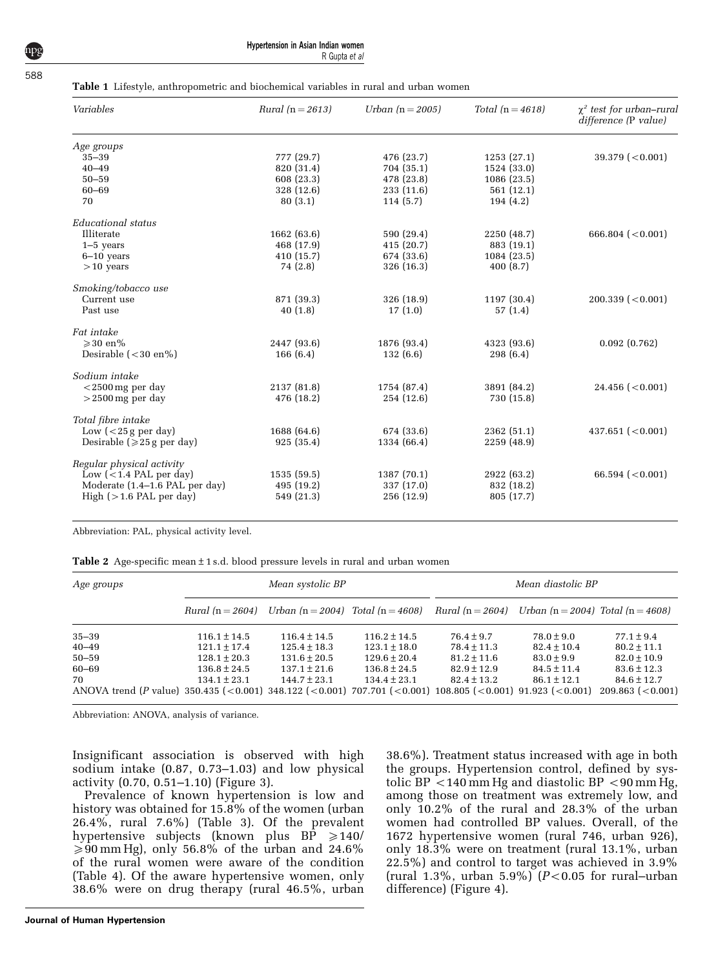#### <span id="page-3-0"></span>Table 1 Lifestyle, anthropometric and biochemical variables in rural and urban women

| Variables                        | Rural $(n = 2613)$ | Urban $(n = 2005)$ | Total $(n = 4618)$ | $\chi^2$ test for urban-rural<br>difference (P value) |
|----------------------------------|--------------------|--------------------|--------------------|-------------------------------------------------------|
| Age groups                       |                    |                    |                    |                                                       |
| $35 - 39$                        | 777 (29.7)         | 476 (23.7)         | 1253(27.1)         | 39.379 (< 0.001)                                      |
| $40 - 49$                        | 820 (31.4)         | 704 (35.1)         | 1524 (33.0)        |                                                       |
| $50 - 59$                        | 608 (23.3)         | 478 (23.8)         | 1086(23.5)         |                                                       |
| 60-69                            | 328 (12.6)         | 233 (11.6)         | 561(12.1)          |                                                       |
| 70                               | 80(3.1)            | 114(5.7)           | 194(4.2)           |                                                       |
| Educational status               |                    |                    |                    |                                                       |
| Illiterate                       | 1662 (63.6)        | 590 (29.4)         | 2250 (48.7)        | 666.804 ( $<$ 0.001)                                  |
| $1-5$ years                      | 468 (17.9)         | 415(20.7)          | 883 (19.1)         |                                                       |
| $6-10$ years                     | 410 (15.7)         | 674 (33.6)         | 1084 (23.5)        |                                                       |
| $>10$ years                      | 74 (2.8)           | 326 (16.3)         | 400(8.7)           |                                                       |
| Smoking/tobacco use              |                    |                    |                    |                                                       |
| Current use                      | 871 (39.3)         | 326 (18.9)         | 1197 (30.4)        | $200.339$ (<0.001)                                    |
| Past use                         | 40(1.8)            | 17(1.0)            | 57(1.4)            |                                                       |
| Fat intake                       |                    |                    |                    |                                                       |
| $\geqslant$ 30 en%               | 2447 (93.6)        | 1876 (93.4)        | 4323 (93.6)        | 0.092(0.762)                                          |
| Desirable $(<30$ en%)            | 166(6.4)           | 132(6.6)           | 298(6.4)           |                                                       |
| Sodium intake                    |                    |                    |                    |                                                       |
| $<$ 2500 mg per day              | 2137 (81.8)        | 1754 (87.4)        | 3891 (84.2)        | $24.456$ (<0.001)                                     |
| $>$ 2500 mg per day              | 476 (18.2)         | 254 (12.6)         | 730 (15.8)         |                                                       |
| Total fibre intake               |                    |                    |                    |                                                       |
| Low $(<$ 25 g per day)           | 1688 (64.6)        | 674 (33.6)         | 2362 (51.1)        | 437.651 ( $< 0.001$ )                                 |
| Desirable ( $\geq 25$ g per day) | 925(35.4)          | 1334 (66.4)        | 2259 (48.9)        |                                                       |
|                                  |                    |                    |                    |                                                       |
| Regular physical activity        |                    |                    |                    |                                                       |
| Low $(<1.4$ PAL per day)         | 1535(59.5)         | 1387 (70.1)        | 2922 (63.2)        | 66.594 ( $<$ 0.001)                                   |
| Moderate (1.4–1.6 PAL per day)   | 495 (19.2)         | 337 (17.0)         | 832 (18.2)         |                                                       |
| High $(>1.6$ PAL per day)        | 549 (21.3)         | 256 (12.9)         | 805 (17.7)         |                                                       |
|                                  |                    |                    |                    |                                                       |

Abbreviation: PAL, physical activity level.

| Age groups                                                                                                |                  | Mean systolic BP                      |                  | Mean diastolic BP  |                                   |                    |  |
|-----------------------------------------------------------------------------------------------------------|------------------|---------------------------------------|------------------|--------------------|-----------------------------------|--------------------|--|
|                                                                                                           | Rural $(n=2604)$ | Urban $(n = 2004)$ Total $(n = 4608)$ |                  | Rural $(n = 2604)$ | Urban (n = 2004) Total (n = 4608) |                    |  |
| $35 - 39$                                                                                                 | $116.1 \pm 14.5$ | $116.4 \pm 14.5$                      | $116.2 \pm 14.5$ | $76.4 + 9.7$       | $78.0 + 9.0$                      | $77.1 \pm 9.4$     |  |
| $40 - 49$                                                                                                 | $121.1 \pm 17.4$ | $125.4 \pm 18.3$                      | $123.1 \pm 18.0$ | $78.4 \pm 11.3$    | $82.4 \pm 10.4$                   | $80.2 \pm 11.1$    |  |
| $50 - 59$                                                                                                 | $128.1 \pm 20.3$ | $131.6 \pm 20.5$                      | $129.6 \pm 20.4$ | $81.2 \pm 11.6$    | $83.0 \pm 9.9$                    | $82.0 \pm 10.9$    |  |
| 60–69                                                                                                     | $136.8 \pm 24.5$ | $137.1 \pm 21.6$                      | $136.8 \pm 24.5$ | $82.9 \pm 12.9$    | $84.5 \pm 11.4$                   | $83.6 \pm 12.3$    |  |
| 70                                                                                                        | $134.1 \pm 23.1$ | $144.7 \pm 23.1$                      | $134.4 \pm 23.1$ | $82.4 \pm 13.2$    | $86.1 \pm 12.1$                   | $84.6 \pm 12.7$    |  |
| ANOVA trend (P value) 350.435 (<0.001) 348.122 (<0.001) 707.701 (<0.001) 108.805 (<0.001) 91.923 (<0.001) |                  |                                       |                  |                    |                                   | $209.863$ (<0.001) |  |

Abbreviation: ANOVA, analysis of variance.

Insignificant association is observed with high sodium intake (0.87, 0.73–1.03) and low physical activity (0.70, 0.51–1.10) [\(Figure 3](#page-4-0)).

Prevalence of known hypertension is low and history was obtained for 15.8% of the women (urban 26.4%, rural 7.6%) [\(Table 3\)](#page-4-0). Of the prevalent hypertensive subjects (known plus BP  $\geq 140/$  $\geqslant$  90 mm Hg), only 56.8% of the urban and 24.6% of the rural women were aware of the condition ([Table 4](#page-5-0)). Of the aware hypertensive women, only 38.6% were on drug therapy (rural 46.5%, urban 38.6%). Treatment status increased with age in both the groups. Hypertension control, defined by systolic BP  $<$  140 mm Hg and diastolic BP  $<$  90 mm Hg, among those on treatment was extremely low, and only 10.2% of the rural and 28.3% of the urban women had controlled BP values. Overall, of the 1672 hypertensive women (rural 746, urban 926), only 18.3% were on treatment (rural 13.1%, urban 22.5%) and control to target was achieved in 3.9% (rural 1.3%, urban 5.9%)  $(P<0.05$  for rural–urban difference) ([Figure 4\)](#page-5-0).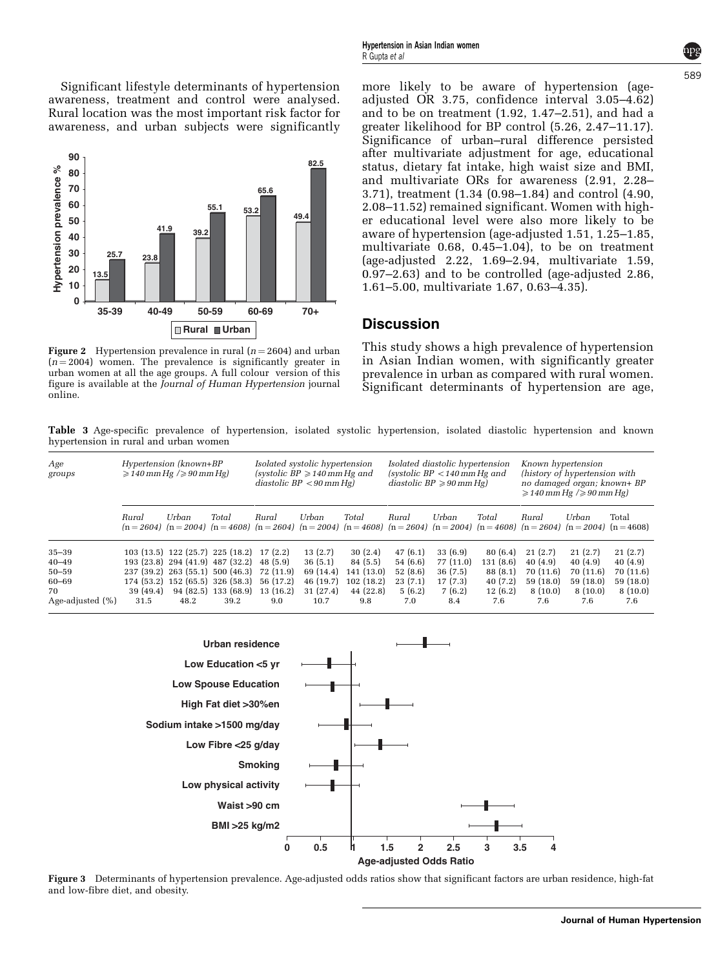<span id="page-4-0"></span>Significant lifestyle determinants of hypertension awareness, treatment and control were analysed. Rural location was the most important risk factor for awareness, and urban subjects were significantly



Figure 2 Hypertension prevalence in rural ( $n = 2604$ ) and urban  $(n = 2004)$  women. The prevalence is significantly greater in urban women at all the age groups. A full colour version of this figure is available at the Journal of Human Hypertension journal online.

more likely to be aware of hypertension (ageadjusted OR 3.75, confidence interval 3.05–4.62) and to be on treatment (1.92, 1.47–2.51), and had a greater likelihood for BP control (5.26, 2.47–11.17). Significance of urban–rural difference persisted after multivariate adjustment for age, educational status, dietary fat intake, high waist size and BMI, and multivariate ORs for awareness (2.91, 2.28– 3.71), treatment (1.34 (0.98–1.84) and control (4.90, 2.08–11.52) remained significant. Women with higher educational level were also more likely to be aware of hypertension (age-adjusted 1.51, 1.25–1.85, multivariate 0.68, 0.45–1.04), to be on treatment (age-adjusted 2.22, 1.69–2.94, multivariate 1.59, 0.97–2.63) and to be controlled (age-adjusted 2.86, 1.61–5.00, multivariate 1.67, 0.63–4.35).

#### **Discussion**

This study shows a high prevalence of hypertension in Asian Indian women, with significantly greater prevalence in urban as compared with rural women. Significant determinants of hypertension are age,

Table 3 Age-specific prevalence of hypertension, isolated systolic hypertension, isolated diastolic hypertension and known hypertension in rural and urban women

| Age<br>groups    | Hypertension (known+BP<br>$\geqslant$ 140 mm Hg $/$ $\geqslant$ 90 mm Hg) |                                           | Isolated systolic hypertension<br>(systolic $BP \geq 140$ mm Hg and<br>diastolic $BP < 90$ mm Hg) |              |           | Isolated diastolic hypertension<br>(systolic $BP < 140$ mm Hg and<br>diastolic $BP \geq 90$ mm Hg) |              |                                                                                                                                              | Known hypertension<br>(history of hypertension with<br>no damaged organ; known+ BP<br>$\geqslant$ 140 mm Hg $/$ $\geqslant$ 90 mm Hg) |              |           |           |
|------------------|---------------------------------------------------------------------------|-------------------------------------------|---------------------------------------------------------------------------------------------------|--------------|-----------|----------------------------------------------------------------------------------------------------|--------------|----------------------------------------------------------------------------------------------------------------------------------------------|---------------------------------------------------------------------------------------------------------------------------------------|--------------|-----------|-----------|
|                  | Rural                                                                     | Urban                                     | Total                                                                                             | <b>Bural</b> | Urban     | Total                                                                                              | <b>Bural</b> | Urban<br>$(n=2604)$ $(n=2004)$ $(n=4608)$ $(n=2604)$ $(n=2004)$ $(n=4608)$ $(n=2604)$ $(n=2004)$ $(n=4608)$ $(n=2604)$ $(n=2004)$ $(n=4608)$ | Total                                                                                                                                 | <b>Bural</b> | Urban     | Total     |
| $35 - 39$        |                                                                           | 103 (13.5) 122 (25.7) 225 (18.2) 17 (2.2) |                                                                                                   |              | 13(2.7)   | 30(2.4)                                                                                            | 47(6.1)      | 33(6.9)                                                                                                                                      | 80(6.4)                                                                                                                               | 21(2.7)      | 21(2.7)   | 21(2.7)   |
| $40 - 49$        |                                                                           | 193 (23.8) 294 (41.9) 487 (32.2)          |                                                                                                   | 48 (5.9)     | 36(5.1)   | 84(5.5)                                                                                            | 54(6.6)      | 77 (11.0)                                                                                                                                    | 131(8.6)                                                                                                                              | 40(4.9)      | 40(4.9)   | 40(4.9)   |
| $50 - 59$        |                                                                           | 237 (39.2) 263 (55.1) 500 (46.3)          |                                                                                                   | 72 (11.9)    | 69 (14.4) | 141(13.0)                                                                                          | 52(8.6)      | 36(7.5)                                                                                                                                      | 88(8.1)                                                                                                                               | 70 (11.6)    | 70 (11.6) | 70 (11.6) |
| 60-69            |                                                                           | 174 (53.2) 152 (65.5) 326 (58.3)          |                                                                                                   | 56 (17.2)    | 46 (19.7) | 102(18.2)                                                                                          | 23(7.1)      | 17(7.3)                                                                                                                                      | 40(7.2)                                                                                                                               | 59 (18.0)    | 59 (18.0) | 59 (18.0) |
| 70               | 39 (49.4)                                                                 |                                           | 94 (82.5) 133 (68.9)                                                                              | 13(16.2)     | 31 (27.4) | 44 (22.8)                                                                                          | 5(6.2)       | 7(6.2)                                                                                                                                       | 12(6.2)                                                                                                                               | 8(10.0)      | 8(10.0)   | 8(10.0)   |
| Age-adjusted (%) | 31.5                                                                      | 48.2                                      | 39.2                                                                                              | 9.0          | 10.7      | 9.8                                                                                                | 7.0          | 8.4                                                                                                                                          | 7.6                                                                                                                                   | 7.6          | 7.6       | 7.6       |



Figure 3 Determinants of hypertension prevalence. Age-adjusted odds ratios show that significant factors are urban residence, high-fat and low-fibre diet, and obesity.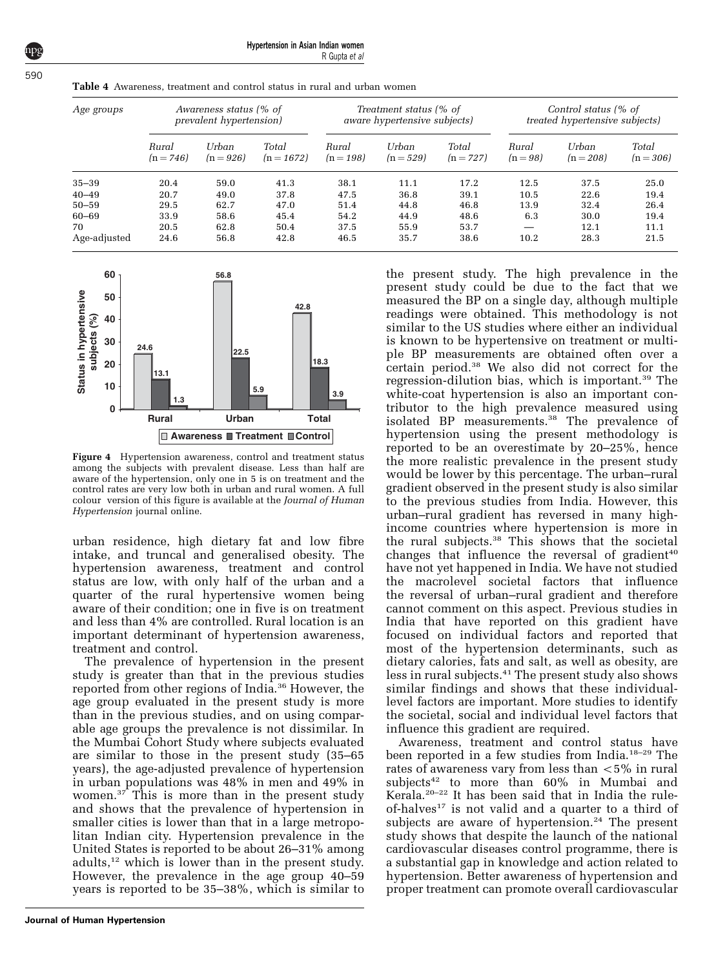Hypertension in Asian Indian women R Gupta et al

| Age groups   | Awareness status (% of<br>prevalent hypertension) |                      |                       | Treatment status (% of<br><i>aware hypertensive subjects</i> ) |                    |                      | Control status (% of<br><i>treated hypertensive subjects)</i> |                      |                      |
|--------------|---------------------------------------------------|----------------------|-----------------------|----------------------------------------------------------------|--------------------|----------------------|---------------------------------------------------------------|----------------------|----------------------|
|              | Rural<br>$(n = 746)$                              | Urban<br>$(n = 926)$ | Total<br>$(n = 1672)$ | Rural<br>$(n = 198)$                                           | Urban<br>$(n=529)$ | Total<br>$(n = 727)$ | Rural<br>$(n = 98)$                                           | Urban<br>$(n = 208)$ | Total<br>$(n = 306)$ |
| $35 - 39$    | 20.4                                              | 59.0                 | 41.3                  | 38.1                                                           | 11.1               | 17.2                 | 12.5                                                          | 37.5                 | 25.0                 |
| $40 - 49$    | 20.7                                              | 49.0                 | 37.8                  | 47.5                                                           | 36.8               | 39.1                 | 10.5                                                          | 22.6                 | 19.4                 |
| $50 - 59$    | 29.5                                              | 62.7                 | 47.0                  | 51.4                                                           | 44.8               | 46.8                 | 13.9                                                          | 32.4                 | 26.4                 |
| 60-69        | 33.9                                              | 58.6                 | 45.4                  | 54.2                                                           | 44.9               | 48.6                 | 6.3                                                           | 30.0                 | 19.4                 |
| 70           | 20.5                                              | 62.8                 | 50.4                  | 37.5                                                           | 55.9               | 53.7                 |                                                               | 12.1                 | 11.1                 |
| Age-adjusted | 24.6                                              | 56.8                 | 42.8                  | 46.5                                                           | 35.7               | 38.6                 | 10.2                                                          | 28.3                 | 21.5                 |

<span id="page-5-0"></span>Table 4 Awareness, treatment and control status in rural and urban women



Figure 4 Hypertension awareness, control and treatment status among the subjects with prevalent disease. Less than half are aware of the hypertension, only one in 5 is on treatment and the control rates are very low both in urban and rural women. A full colour version of this figure is available at the Journal of Human Hypertension journal online.

urban residence, high dietary fat and low fibre intake, and truncal and generalised obesity. The hypertension awareness, treatment and control status are low, with only half of the urban and a quarter of the rural hypertensive women being aware of their condition; one in five is on treatment and less than 4% are controlled. Rural location is an important determinant of hypertension awareness, treatment and control.

The prevalence of hypertension in the present study is greater than that in the previous studies reported from other regions of India.[36](#page-7-0) However, the age group evaluated in the present study is more than in the previous studies, and on using comparable age groups the prevalence is not dissimilar. In the Mumbai Cohort Study where subjects evaluated are similar to those in the present study (35–65 years), the age-adjusted prevalence of hypertension in urban populations was 48% in men and 49% in women.<sup>37</sup> This is more than in the present study and shows that the prevalence of hypertension in smaller cities is lower than that in a large metropolitan Indian city. Hypertension prevalence in the United States is reported to be about 26–31% among adults,[12](#page-6-0) which is lower than in the present study. However, the prevalence in the age group 40–59 years is reported to be 35–38%, which is similar to

**Journal of Human Hypertension**

the present study. The high prevalence in the present study could be due to the fact that we measured the BP on a single day, although multiple readings were obtained. This methodology is not similar to the US studies where either an individual is known to be hypertensive on treatment or multiple BP measurements are obtained often over a certain period.[38](#page-7-0) We also did not correct for the regression-dilution bias, which is important.<sup>[39](#page-7-0)</sup> The white-coat hypertension is also an important contributor to the high prevalence measured using isolated BP measurements.<sup>[38](#page-7-0)</sup> The prevalence of hypertension using the present methodology is reported to be an overestimate by 20–25%, hence the more realistic prevalence in the present study would be lower by this percentage. The urban–rural gradient observed in the present study is also similar to the previous studies from India. However, this urban–rural gradient has reversed in many highincome countries where hypertension is more in the rural subjects.[38](#page-7-0) This shows that the societal changes that influence the reversal of gradient<sup>[40](#page-7-0)</sup> have not yet happened in India. We have not studied the macrolevel societal factors that influence the reversal of urban–rural gradient and therefore cannot comment on this aspect. Previous studies in India that have reported on this gradient have focused on individual factors and reported that most of the hypertension determinants, such as dietary calories, fats and salt, as well as obesity, are less in rural subjects.<sup>[41](#page-7-0)</sup> The present study also shows similar findings and shows that these individuallevel factors are important. More studies to identify the societal, social and individual level factors that influence this gradient are required.

Awareness, treatment and control status have been reported in a few studies from India.[18–29](#page-7-0) The rates of awareness vary from less than  $<$  5% in rural subjects<sup>[42](#page-7-0)</sup> to more than 60% in Mumbai and Kerala.[20–22](#page-7-0) It has been said that in India the rule-of-halves<sup>[17](#page-7-0)</sup> is not valid and a quarter to a third of subjects are aware of hypertension.<sup>[24](#page-7-0)</sup> The present study shows that despite the launch of the national cardiovascular diseases control programme, there is a substantial gap in knowledge and action related to hypertension. Better awareness of hypertension and proper treatment can promote overall cardiovascular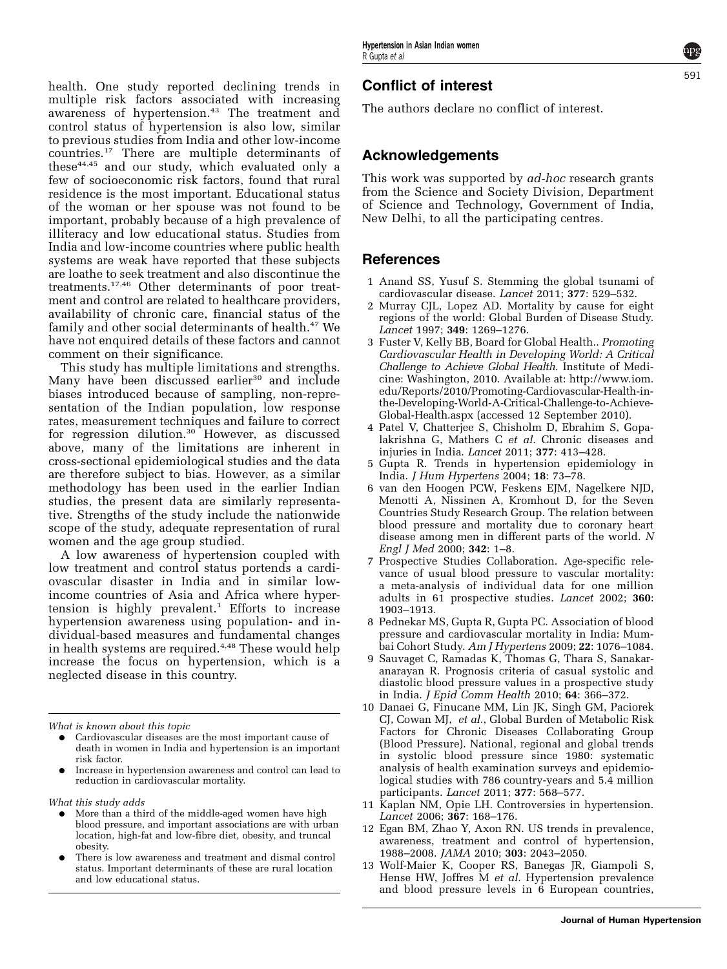5Q

<span id="page-6-0"></span>health. One study reported declining trends in multiple risk factors associated with increasing awareness of hypertension.<sup>43</sup> The treatment and control status of hypertension is also low, similar to previous studies from India and other low-income countries.[17](#page-7-0) There are multiple determinants of these $44,45$  and our study, which evaluated only a few of socioeconomic risk factors, found that rural residence is the most important. Educational status of the woman or her spouse was not found to be important, probably because of a high prevalence of illiteracy and low educational status. Studies from India and low-income countries where public health systems are weak have reported that these subjects are loathe to seek treatment and also discontinue the treatments.[17,46](#page-8-0) Other determinants of poor treatment and control are related to healthcare providers, availability of chronic care, financial status of the family and other social determinants of health.<sup>[47](#page-8-0)</sup> We have not enquired details of these factors and cannot comment on their significance.

This study has multiple limitations and strengths. Many have been discussed earlier<sup>[30](#page-7-0)</sup> and include biases introduced because of sampling, non-representation of the Indian population, low response rates, measurement techniques and failure to correct for regression dilution.<sup>[30](#page-7-0)</sup> However, as discussed above, many of the limitations are inherent in cross-sectional epidemiological studies and the data are therefore subject to bias. However, as a similar methodology has been used in the earlier Indian studies, the present data are similarly representative. Strengths of the study include the nationwide scope of the study, adequate representation of rural women and the age group studied.

A low awareness of hypertension coupled with low treatment and control status portends a cardiovascular disaster in India and in similar lowincome countries of Asia and Africa where hypertension is highly prevalent.<sup>1</sup> Efforts to increase hypertension awareness using population- and individual-based measures and fundamental changes in health systems are required.<sup>4,48</sup> These would help increase the focus on hypertension, which is a neglected disease in this country.

What is known about this topic

- Cardiovascular diseases are the most important cause of death in women in India and hypertension is an important risk factor.
- Increase in hypertension awareness and control can lead to reduction in cardiovascular mortality.

What this study adds

- More than a third of the middle-aged women have high blood pressure, and important associations are with urban location, high-fat and low-fibre diet, obesity, and truncal obesity.
- There is low awareness and treatment and dismal control status. Important determinants of these are rural location and low educational status.

# Conflict of interest

The authors declare no conflict of interest.

#### Acknowledgements

This work was supported by *ad-hoc* research grants from the Science and Society Division, Department of Science and Technology, Government of India, New Delhi, to all the participating centres.

#### References

- 1 Anand SS, Yusuf S. Stemming the global tsunami of cardiovascular disease. Lancet 2011; 377: 529–532.
- 2 Murray CJL, Lopez AD. Mortality by cause for eight regions of the world: Global Burden of Disease Study. Lancet 1997; 349: 1269–1276.
- 3 Fuster V, Kelly BB, Board for Global Health.. Promoting Cardiovascular Health in Developing World: A Critical Challenge to Achieve Global Health. Institute of Medicine: Washington, 2010. Available at: [http://www.iom.](http://www.iom.edu/Reports/2010/Promoting-Cardiovascular-Health-in-the-Developing-World-A-Critical-Challenge-to-Achieve-Global-Health.aspx) [edu/Reports/2010/Promoting-Cardiovascular-Health-in](http://www.iom.edu/Reports/2010/Promoting-Cardiovascular-Health-in-the-Developing-World-A-Critical-Challenge-to-Achieve-Global-Health.aspx)[the-Developing-World-A-Critical-Challenge-to-Achieve-](http://www.iom.edu/Reports/2010/Promoting-Cardiovascular-Health-in-the-Developing-World-A-Critical-Challenge-to-Achieve-Global-Health.aspx)[Global-Health.aspx](http://www.iom.edu/Reports/2010/Promoting-Cardiovascular-Health-in-the-Developing-World-A-Critical-Challenge-to-Achieve-Global-Health.aspx) (accessed 12 September 2010).
- 4 Patel V, Chatterjee S, Chisholm D, Ebrahim S, Gopalakrishna G, Mathers C et al. Chronic diseases and injuries in India. Lancet 2011; 377: 413–428.
- 5 Gupta R. Trends in hypertension epidemiology in India. J Hum Hypertens 2004; 18: 73–78.
- 6 van den Hoogen PCW, Feskens EJM, Nagelkere NJD, Menotti A, Nissinen A, Kromhout D, for the Seven Countries Study Research Group. The relation between blood pressure and mortality due to coronary heart disease among men in different parts of the world. N Engl J Med 2000; 342: 1–8.
- 7 Prospective Studies Collaboration. Age-specific relevance of usual blood pressure to vascular mortality: a meta-analysis of individual data for one million adults in 61 prospective studies. Lancet 2002; 360: 1903–1913.
- 8 Pednekar MS, Gupta R, Gupta PC. Association of blood pressure and cardiovascular mortality in India: Mumbai Cohort Study. Am J Hypertens 2009; 22: 1076–1084.
- 9 Sauvaget C, Ramadas K, Thomas G, Thara S, Sanakaranarayan R. Prognosis criteria of casual systolic and diastolic blood pressure values in a prospective study in India. J Epid Comm Health 2010; 64: 366–372.
- 10 Danaei G, Finucane MM, Lin JK, Singh GM, Paciorek CJ, Cowan MJ, et al., Global Burden of Metabolic Risk Factors for Chronic Diseases Collaborating Group (Blood Pressure). National, regional and global trends in systolic blood pressure since 1980: systematic analysis of health examination surveys and epidemiological studies with 786 country-years and 5.4 million participants. Lancet 2011; 377: 568–577.
- 11 Kaplan NM, Opie LH. Controversies in hypertension. Lancet 2006; 367: 168–176.
- 12 Egan BM, Zhao Y, Axon RN. US trends in prevalence, awareness, treatment and control of hypertension, 1988–2008. JAMA 2010; 303: 2043–2050.
- 13 Wolf-Maier K, Cooper RS, Banegas JR, Giampoli S, Hense HW, Joffres M et al. Hypertension prevalence and blood pressure levels in 6 European countries,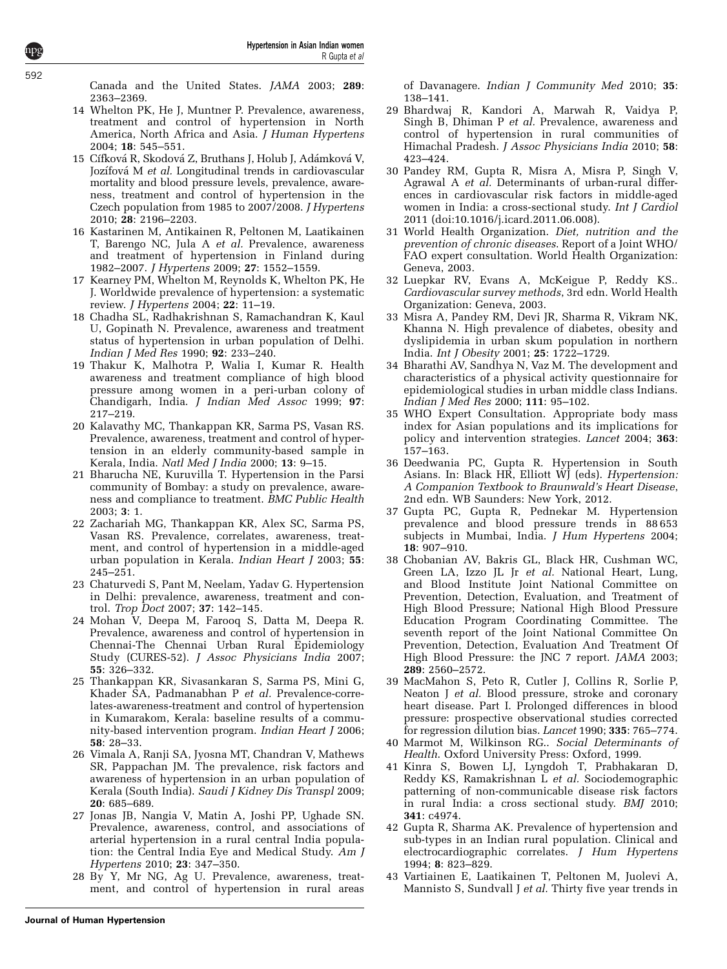<span id="page-7-0"></span>Canada and the United States. JAMA 2003; 289: 2363–2369.

- 14 Whelton PK, He J, Muntner P. Prevalence, awareness, treatment and control of hypertension in North America, North Africa and Asia. J Human Hypertens 2004; 18: 545–551.
- 15 Cífková R, Skodová Z, Bruthans J, Holub J, Adámková V, Jozífová M et al. Longitudinal trends in cardiovascular mortality and blood pressure levels, prevalence, awareness, treatment and control of hypertension in the Czech population from 1985 to 2007/2008. J Hypertens 2010; 28: 2196–2203.
- 16 Kastarinen M, Antikainen R, Peltonen M, Laatikainen T, Barengo NC, Jula A et al. Prevalence, awareness and treatment of hypertension in Finland during 1982–2007. J Hypertens 2009; 27: 1552–1559.
- 17 Kearney PM, Whelton M, Reynolds K, Whelton PK, He J. Worldwide prevalence of hypertension: a systematic review. J Hypertens 2004; 22: 11–19.
- 18 Chadha SL, Radhakrishnan S, Ramachandran K, Kaul U, Gopinath N. Prevalence, awareness and treatment status of hypertension in urban population of Delhi. Indian J Med Res 1990; 92: 233–240.
- 19 Thakur K, Malhotra P, Walia I, Kumar R. Health awareness and treatment compliance of high blood pressure among women in a peri-urban colony of Chandigarh, India. J Indian Med Assoc 1999; 97: 217–219.
- 20 Kalavathy MC, Thankappan KR, Sarma PS, Vasan RS. Prevalence, awareness, treatment and control of hypertension in an elderly community-based sample in Kerala, India. Natl Med J India 2000; 13: 9–15.
- 21 Bharucha NE, Kuruvilla T. Hypertension in the Parsi community of Bombay: a study on prevalence, awareness and compliance to treatment. BMC Public Health 2003; 3: 1.
- 22 Zachariah MG, Thankappan KR, Alex SC, Sarma PS, Vasan RS. Prevalence, correlates, awareness, treatment, and control of hypertension in a middle-aged urban population in Kerala. Indian Heart J 2003; 55: 245–251.
- 23 Chaturvedi S, Pant M, Neelam, Yadav G. Hypertension in Delhi: prevalence, awareness, treatment and control. Trop Doct 2007; 37: 142–145.
- 24 Mohan V, Deepa M, Farooq S, Datta M, Deepa R. Prevalence, awareness and control of hypertension in Chennai-The Chennai Urban Rural Epidemiology Study (CURES-52). J Assoc Physicians India 2007; 55: 326–332.
- 25 Thankappan KR, Sivasankaran S, Sarma PS, Mini G, Khader SA, Padmanabhan P et al. Prevalence-correlates-awareness-treatment and control of hypertension in Kumarakom, Kerala: baseline results of a community-based intervention program. Indian Heart J 2006; 58: 28–33.
- 26 Vimala A, Ranji SA, Jyosna MT, Chandran V, Mathews SR, Pappachan JM. The prevalence, risk factors and awareness of hypertension in an urban population of Kerala (South India). Saudi J Kidney Dis Transpl 2009; 20: 685–689.
- 27 Jonas JB, Nangia V, Matin A, Joshi PP, Ughade SN. Prevalence, awareness, control, and associations of arterial hypertension in a rural central India population: the Central India Eye and Medical Study. Am J Hypertens 2010; 23: 347–350.
- 28 By Y, Mr NG, Ag U. Prevalence, awareness, treatment, and control of hypertension in rural areas

**Journal of Human Hypertension**

of Davanagere. Indian J Community Med 2010; 35: 138–141.

- 29 Bhardwaj R, Kandori A, Marwah R, Vaidya P, Singh B, Dhiman P et al. Prevalence, awareness and control of hypertension in rural communities of Himachal Pradesh. J Assoc Physicians India 2010; 58: 423–424.
- 30 Pandey RM, Gupta R, Misra A, Misra P, Singh V, Agrawal A et al. Determinants of urban-rural differences in cardiovascular risk factors in middle-aged women in India: a cross-sectional study. Int J Cardiol 2011 (doi:10.1016/j.icard.2011.06.008).
- 31 World Health Organization. Diet, nutrition and the prevention of chronic diseases. Report of a Joint WHO/ FAO expert consultation. World Health Organization: Geneva, 2003.
- 32 Luepkar RV, Evans A, McKeigue P, Reddy KS.. Cardiovascular survey methods, 3rd edn. World Health Organization: Geneva, 2003.
- 33 Misra A, Pandey RM, Devi JR, Sharma R, Vikram NK, Khanna N. High prevalence of diabetes, obesity and dyslipidemia in urban skum population in northern India. Int J Obesity 2001; 25: 1722–1729.
- 34 Bharathi AV, Sandhya N, Vaz M. The development and characteristics of a physical activity questionnaire for epidemiological studies in urban middle class Indians. Indian J Med Res 2000; 111: 95–102.
- 35 WHO Expert Consultation. Appropriate body mass index for Asian populations and its implications for policy and intervention strategies. Lancet 2004; 363: 157–163.
- 36 Deedwania PC, Gupta R. Hypertension in South Asians. In: Black HR, Elliott WJ (eds). Hypertension: A Companion Textbook to Braunwald's Heart Disease, 2nd edn. WB Saunders: New York, 2012.
- 37 Gupta PC, Gupta R, Pednekar M. Hypertension prevalence and blood pressure trends in 88 653 subjects in Mumbai, India. J Hum Hypertens 2004; 18: 907–910.
- 38 Chobanian AV, Bakris GL, Black HR, Cushman WC, Green LA, Izzo JL Jr et al. National Heart, Lung, and Blood Institute Joint National Committee on Prevention, Detection, Evaluation, and Treatment of High Blood Pressure; National High Blood Pressure Education Program Coordinating Committee. The seventh report of the Joint National Committee On Prevention, Detection, Evaluation And Treatment Of High Blood Pressure: the JNC 7 report. JAMA 2003; 289: 2560–2572.
- 39 MacMahon S, Peto R, Cutler J, Collins R, Sorlie P, Neaton J et al. Blood pressure, stroke and coronary heart disease. Part I. Prolonged differences in blood pressure: prospective observational studies corrected for regression dilution bias. Lancet 1990; 335: 765–774.
- 40 Marmot M, Wilkinson RG.. Social Determinants of Health. Oxford University Press: Oxford, 1999.
- 41 Kinra S, Bowen LJ, Lyngdoh T, Prabhakaran D, Reddy KS, Ramakrishnan L et al. Sociodemographic patterning of non-communicable disease risk factors in rural India: a cross sectional study. BMJ 2010; 341: c4974.
- 42 Gupta R, Sharma AK. Prevalence of hypertension and sub-types in an Indian rural population. Clinical and electrocardiographic correlates. J Hum Hypertens 1994; 8: 823–829.
- 43 Vartiainen E, Laatikainen T, Peltonen M, Juolevi A, Mannisto S, Sundvall J et al. Thirty five year trends in